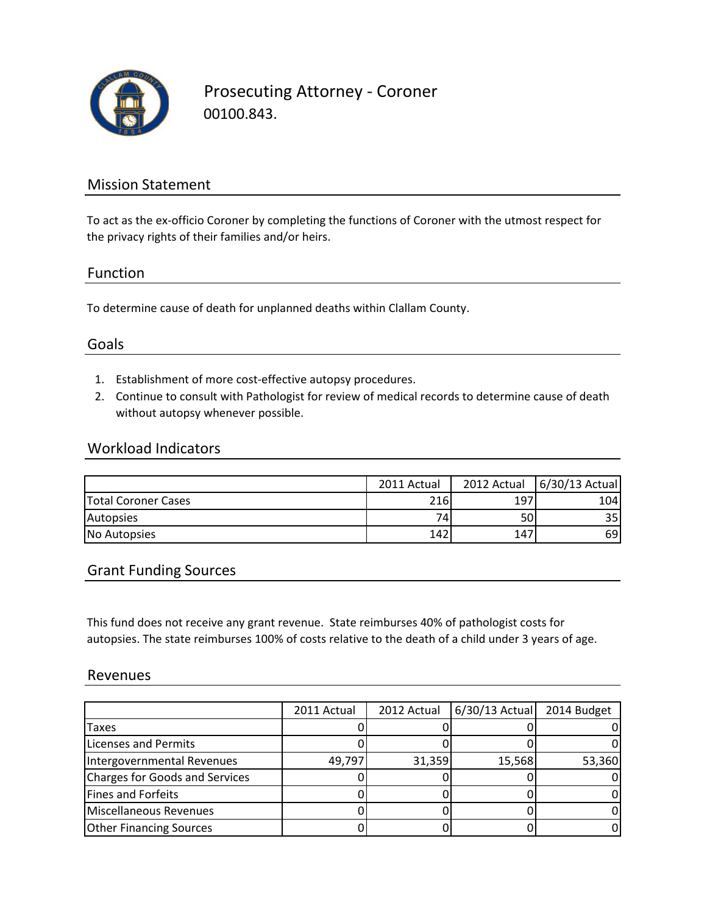

Prosecuting Attorney - Coroner 00100.843.

## Mission Statement

To act as the ex-officio Coroner by completing the functions of Coroner with the utmost respect for the privacy rights of their families and/or heirs.

#### Function

To determine cause of death for unplanned deaths within Clallam County.

## Goals

- 1. Establishment of more cost-effective autopsy procedures.
- 2. Continue to consult with Pathologist for review of medical records to determine cause of death without autopsy whenever possible.

### Workload Indicators

|                            | 2011 Actual | 2012 Actual | 6/30/13 Actual |
|----------------------------|-------------|-------------|----------------|
| <b>Total Coroner Cases</b> | 216         | 197         | 1041           |
| Autopsies                  | 74          | 50I         | 35 I           |
| No Autopsies               | 142         | 147         | 69             |

## Grant Funding Sources

This fund does not receive any grant revenue. State reimburses 40% of pathologist costs for autopsies. The state reimburses 100% of costs relative to the death of a child under 3 years of age.

#### Revenues

|                                       | 2011 Actual | 2012 Actual | $6/30/13$ Actual | 2014 Budget |
|---------------------------------------|-------------|-------------|------------------|-------------|
| Taxes                                 |             |             |                  |             |
| <b>Licenses and Permits</b>           |             |             |                  |             |
| Intergovernmental Revenues            | 49,797      | 31,359      | 15,568           | 53,360      |
| <b>Charges for Goods and Services</b> |             |             |                  |             |
| <b>Fines and Forfeits</b>             |             |             |                  |             |
| Miscellaneous Revenues                |             |             |                  |             |
| <b>Other Financing Sources</b>        |             |             |                  |             |